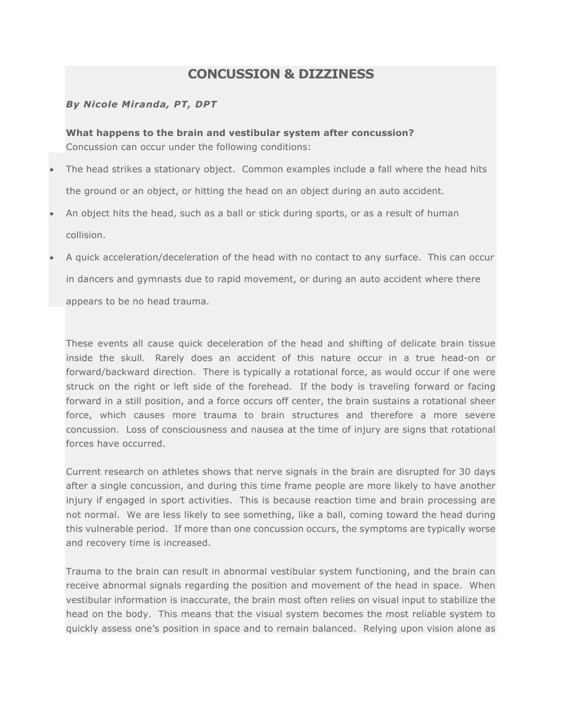# **CONCUSSION & DIZZINESS**

# *By Nicole Miranda, PT, DPT*

**What happens to the brain and vestibular system after concussion?** Concussion can occur under the following conditions:

- The head strikes a stationary object. Common examples include a fall where the head hits the ground or an object, or hitting the head on an object during an auto accident.
- An object hits the head, such as a ball or stick during sports, or as a result of human collision.
- A quick acceleration/deceleration of the head with no contact to any surface. This can occur in dancers and gymnasts due to rapid movement, or during an auto accident where there appears to be no head trauma.

These events all cause quick deceleration of the head and shifting of delicate brain tissue inside the skull. Rarely does an accident of this nature occur in a true head-on or forward/backward direction. There is typically a rotational force, as would occur if one were struck on the right or left side of the forehead. If the body is traveling forward or facing forward in a still position, and a force occurs off center, the brain sustains a rotational sheer force, which causes more trauma to brain structures and therefore a more severe concussion. Loss of consciousness and nausea at the time of injury are signs that rotational forces have occurred.

Current research on athletes shows that nerve signals in the brain are disrupted for 30 days after a single concussion, and during this time frame people are more likely to have another injury if engaged in sport activities. This is because reaction time and brain processing are not normal. We are less likely to see something, like a ball, coming toward the head during this vulnerable period. If more than one concussion occurs, the symptoms are typically worse and recovery time is increased.

Trauma to the brain can result in abnormal vestibular system functioning, and the brain can receive abnormal signals regarding the position and movement of the head in space. When vestibular information is inaccurate, the brain most often relies on visual input to stabilize the head on the body. This means that the visual system becomes the most reliable system to quickly assess one's position in space and to remain balanced. Relying upon vision alone as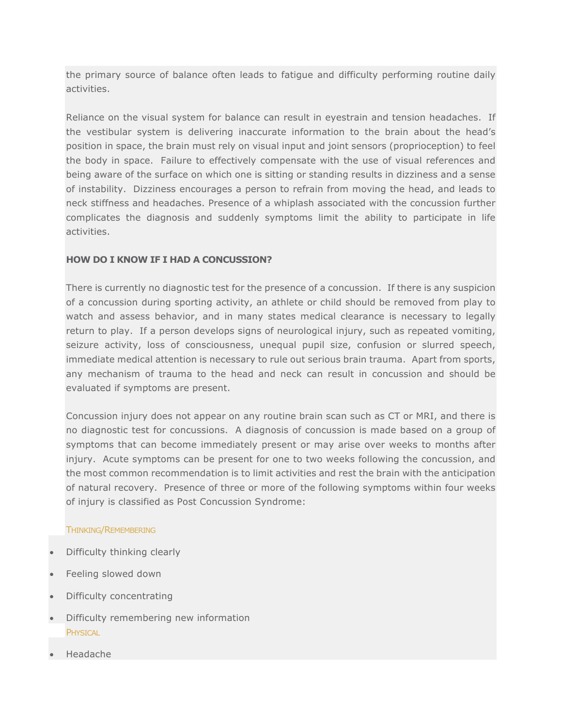the primary source of balance often leads to fatigue and difficulty performing routine daily activities.

Reliance on the visual system for balance can result in eyestrain and tension headaches. If the vestibular system is delivering inaccurate information to the brain about the head's position in space, the brain must rely on visual input and joint sensors (proprioception) to feel the body in space. Failure to effectively compensate with the use of visual references and being aware of the surface on which one is sitting or standing results in dizziness and a sense of instability. Dizziness encourages a person to refrain from moving the head, and leads to neck stiffness and headaches. Presence of a whiplash associated with the concussion further complicates the diagnosis and suddenly symptoms limit the ability to participate in life activities.

### **HOW DO I KNOW IF I HAD A CONCUSSION?**

There is currently no diagnostic test for the presence of a concussion. If there is any suspicion of a concussion during sporting activity, an athlete or child should be removed from play to watch and assess behavior, and in many states medical clearance is necessary to legally return to play. If a person develops signs of neurological injury, such as repeated vomiting, seizure activity, loss of consciousness, unequal pupil size, confusion or slurred speech, immediate medical attention is necessary to rule out serious brain trauma. Apart from sports, any mechanism of trauma to the head and neck can result in concussion and should be evaluated if symptoms are present.

Concussion injury does not appear on any routine brain scan such as CT or MRI, and there is no diagnostic test for concussions. A diagnosis of concussion is made based on a group of symptoms that can become immediately present or may arise over weeks to months after injury. Acute symptoms can be present for one to two weeks following the concussion, and the most common recommendation is to limit activities and rest the brain with the anticipation of natural recovery. Presence of three or more of the following symptoms within four weeks of injury is classified as Post Concussion Syndrome:

### THINKING/REMEMBERING

- Difficulty thinking clearly
- Feeling slowed down
- Difficulty concentrating
- Difficulty remembering new information **PHYSICAL**
- Headache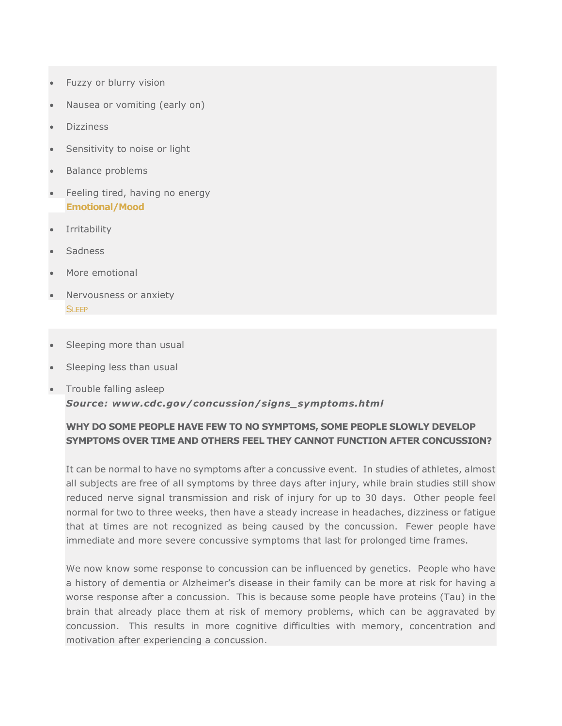- Fuzzy or blurry vision
- Nausea or vomiting (early on)
- Dizziness
- Sensitivity to noise or light
- Balance problems
- Feeling tired, having no energy **Emotional/Mood**
- **Irritability**
- **Sadness**
- More emotional
- Nervousness or anxiety **SLEEP**
- Sleeping more than usual
- Sleeping less than usual
- Trouble falling asleep *Source: www.cdc.gov/concussion/signs\_symptoms.html*

# **WHY DO SOME PEOPLE HAVE FEW TO NO SYMPTOMS, SOME PEOPLE SLOWLY DEVELOP SYMPTOMS OVER TIME AND OTHERS FEEL THEY CANNOT FUNCTION AFTER CONCUSSION?**

It can be normal to have no symptoms after a concussive event. In studies of athletes, almost all subjects are free of all symptoms by three days after injury, while brain studies still show reduced nerve signal transmission and risk of injury for up to 30 days. Other people feel normal for two to three weeks, then have a steady increase in headaches, dizziness or fatigue that at times are not recognized as being caused by the concussion. Fewer people have immediate and more severe concussive symptoms that last for prolonged time frames.

We now know some response to concussion can be influenced by genetics. People who have a history of dementia or Alzheimer's disease in their family can be more at risk for having a worse response after a concussion. This is because some people have proteins (Tau) in the brain that already place them at risk of memory problems, which can be aggravated by concussion. This results in more cognitive difficulties with memory, concentration and motivation after experiencing a concussion.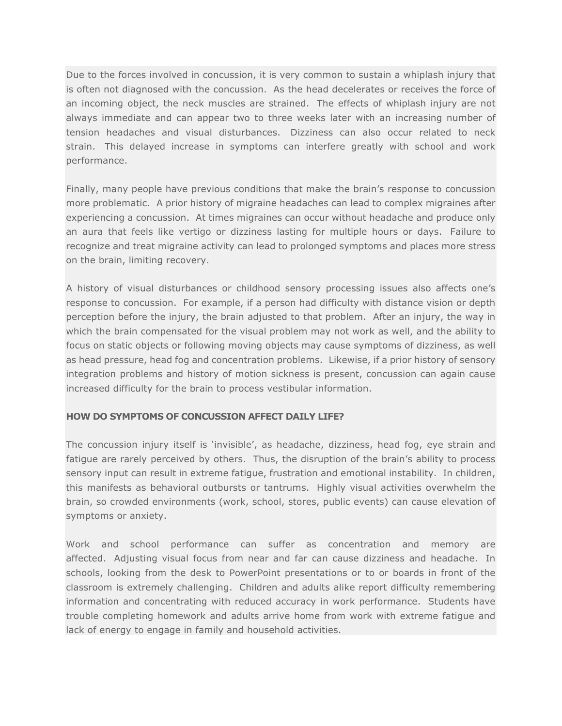Due to the forces involved in concussion, it is very common to sustain a whiplash injury that is often not diagnosed with the concussion. As the head decelerates or receives the force of an incoming object, the neck muscles are strained. The effects of whiplash injury are not always immediate and can appear two to three weeks later with an increasing number of tension headaches and visual disturbances. Dizziness can also occur related to neck strain. This delayed increase in symptoms can interfere greatly with school and work performance.

Finally, many people have previous conditions that make the brain's response to concussion more problematic. A prior history of migraine headaches can lead to complex migraines after experiencing a concussion. At times migraines can occur without headache and produce only an aura that feels like vertigo or dizziness lasting for multiple hours or days. Failure to recognize and treat migraine activity can lead to prolonged symptoms and places more stress on the brain, limiting recovery.

A history of visual disturbances or childhood sensory processing issues also affects one's response to concussion. For example, if a person had difficulty with distance vision or depth perception before the injury, the brain adjusted to that problem. After an injury, the way in which the brain compensated for the visual problem may not work as well, and the ability to focus on static objects or following moving objects may cause symptoms of dizziness, as well as head pressure, head fog and concentration problems. Likewise, if a prior history of sensory integration problems and history of motion sickness is present, concussion can again cause increased difficulty for the brain to process vestibular information.

### **HOW DO SYMPTOMS OF CONCUSSION AFFECT DAILY LIFE?**

The concussion injury itself is 'invisible', as headache, dizziness, head fog, eye strain and fatigue are rarely perceived by others. Thus, the disruption of the brain's ability to process sensory input can result in extreme fatigue, frustration and emotional instability. In children, this manifests as behavioral outbursts or tantrums. Highly visual activities overwhelm the brain, so crowded environments (work, school, stores, public events) can cause elevation of symptoms or anxiety.

Work and school performance can suffer as concentration and memory are affected. Adjusting visual focus from near and far can cause dizziness and headache. In schools, looking from the desk to PowerPoint presentations or to or boards in front of the classroom is extremely challenging. Children and adults alike report difficulty remembering information and concentrating with reduced accuracy in work performance. Students have trouble completing homework and adults arrive home from work with extreme fatigue and lack of energy to engage in family and household activities.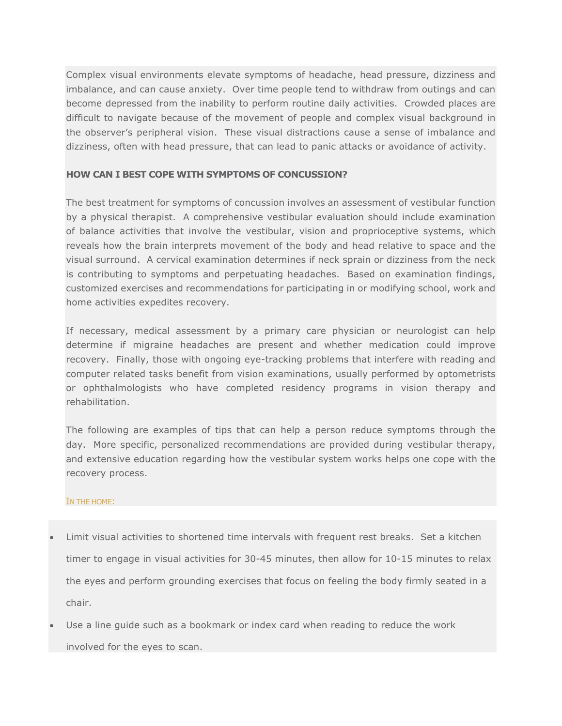Complex visual environments elevate symptoms of headache, head pressure, dizziness and imbalance, and can cause anxiety. Over time people tend to withdraw from outings and can become depressed from the inability to perform routine daily activities. Crowded places are difficult to navigate because of the movement of people and complex visual background in the observer's peripheral vision. These visual distractions cause a sense of imbalance and dizziness, often with head pressure, that can lead to panic attacks or avoidance of activity.

## **HOW CAN I BEST COPE WITH SYMPTOMS OF CONCUSSION?**

The best treatment for symptoms of concussion involves an assessment of vestibular function by a physical therapist. A comprehensive vestibular evaluation should include examination of balance activities that involve the vestibular, vision and proprioceptive systems, which reveals how the brain interprets movement of the body and head relative to space and the visual surround. A cervical examination determines if neck sprain or dizziness from the neck is contributing to symptoms and perpetuating headaches. Based on examination findings, customized exercises and recommendations for participating in or modifying school, work and home activities expedites recovery.

If necessary, medical assessment by a primary care physician or neurologist can help determine if migraine headaches are present and whether medication could improve recovery. Finally, those with ongoing eye-tracking problems that interfere with reading and computer related tasks benefit from vision examinations, usually performed by optometrists or ophthalmologists who have completed residency programs in vision therapy and rehabilitation.

The following are examples of tips that can help a person reduce symptoms through the day. More specific, personalized recommendations are provided during vestibular therapy, and extensive education regarding how the vestibular system works helps one cope with the recovery process.

### IN THE HOME:

- Limit visual activities to shortened time intervals with frequent rest breaks. Set a kitchen timer to engage in visual activities for 30-45 minutes, then allow for 10-15 minutes to relax the eyes and perform grounding exercises that focus on feeling the body firmly seated in a chair.
- Use a line guide such as a bookmark or index card when reading to reduce the work involved for the eyes to scan.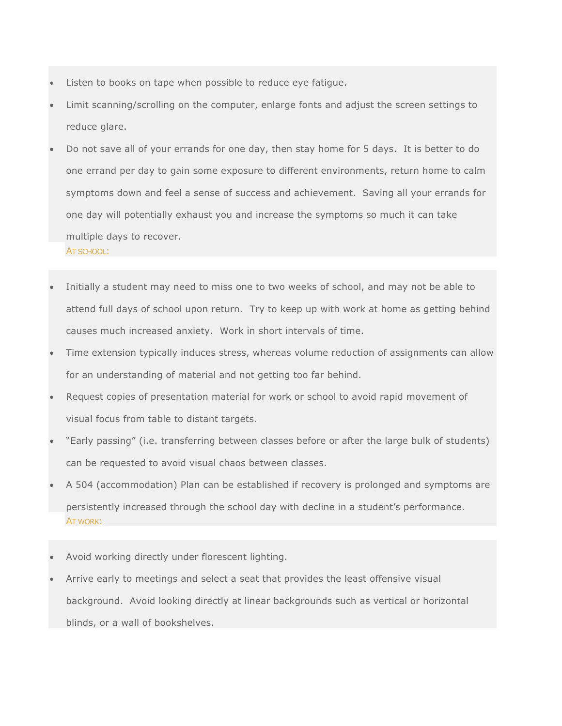- Listen to books on tape when possible to reduce eye fatigue.
- Limit scanning/scrolling on the computer, enlarge fonts and adjust the screen settings to reduce glare.
- Do not save all of your errands for one day, then stay home for 5 days. It is better to do one errand per day to gain some exposure to different environments, return home to calm symptoms down and feel a sense of success and achievement. Saving all your errands for one day will potentially exhaust you and increase the symptoms so much it can take multiple days to recover. AT SCHOOL:
- Initially a student may need to miss one to two weeks of school, and may not be able to attend full days of school upon return. Try to keep up with work at home as getting behind causes much increased anxiety. Work in short intervals of time.
- Time extension typically induces stress, whereas volume reduction of assignments can allow for an understanding of material and not getting too far behind.
- Request copies of presentation material for work or school to avoid rapid movement of visual focus from table to distant targets.
- "Early passing" (i.e. transferring between classes before or after the large bulk of students) can be requested to avoid visual chaos between classes.
- A 504 (accommodation) Plan can be established if recovery is prolonged and symptoms are persistently increased through the school day with decline in a student's performance. AT WORK:
- Avoid working directly under florescent lighting.
- Arrive early to meetings and select a seat that provides the least offensive visual background. Avoid looking directly at linear backgrounds such as vertical or horizontal blinds, or a wall of bookshelves.